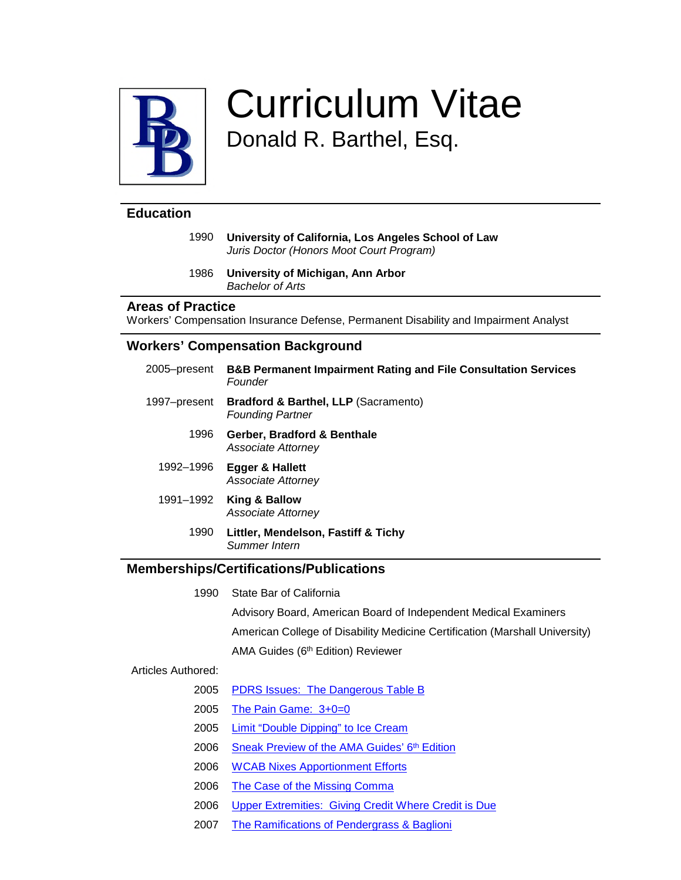

# Curriculum Vitae Donald R. Barthel, Esq.

## **Education**

1990 **University of California, Los Angeles School of Law** *Juris Doctor (Honors Moot Court Program)*

#### 1986 **University of Michigan, Ann Arbor** *Bachelor of Arts*

#### **Areas of Practice**

Workers' Compensation Insurance Defense, Permanent Disability and Impairment Analyst

### **Workers' Compensation Background**

| 2005–present | <b>B&amp;B Permanent Impairment Rating and File Consultation Services</b><br>Founder |
|--------------|--------------------------------------------------------------------------------------|
| 1997–present | <b>Bradford &amp; Barthel, LLP (Sacramento)</b><br><b>Founding Partner</b>           |
| 1996         | Gerber, Bradford & Benthale<br>Associate Attorney                                    |
| 1992–1996    | Egger & Hallett<br>Associate Attorney                                                |
| 1991–1992    | King & Ballow<br>Associate Attorney                                                  |
| 1990         | Littler, Mendelson, Fastiff & Tichy<br>Summer Intern                                 |

## **Memberships/Certifications/Publications**

1990 State Bar of California

Advisory Board, American Board of Independent Medical Examiners

American College of Disability Medicine Certification (Marshall University)

AMA Guides (6<sup>th</sup> Edition) Reviewer

#### Articles Authored:

- 2005 [PDRS Issues: The Dangerous Table B](https://bradfordbarthel.blogspot.com/2012/01/pdrs-issues-dangerous-table-b.html)
- 2005 [The Pain Game: 3+0=0](https://bradfordbarthel.blogspot.com/2005/09/pain-game-300.html)
- 2005 [Limit "Double Dipping" to Ice Cream](https://bradfordbarthel.blogspot.com/2005/11/limit-double-dipping-to-ice-cream.html)
- 2006 [Sneak Preview of the AMA Guides' 6](https://bradfordbarthel.blogspot.com/2005/01/sneak-preview-of-ama-guides-6th-edition.html)th Edition
- 2006 [WCAB Nixes Apportionment Efforts](https://bradfordbarthel.blogspot.com/2006/05/wcab-nixes-apportionment-efforts.html)
- 2006 [The Case of the Missing Comma](https://bradfordbarthel.blogspot.com/2006/07/case-of-missing-comma.html)
- 2006 [Upper Extremities: Giving Credit Where Credit is Due](https://bradfordbarthel.blogspot.com/2012/01/upper-extremities-giving-credit-where.html)
- 2007 [The Ramifications of Pendergrass & Baglioni](https://bradfordbarthel.blogspot.com/2007/01/ramifications-of-pendergrass-baglioni.html)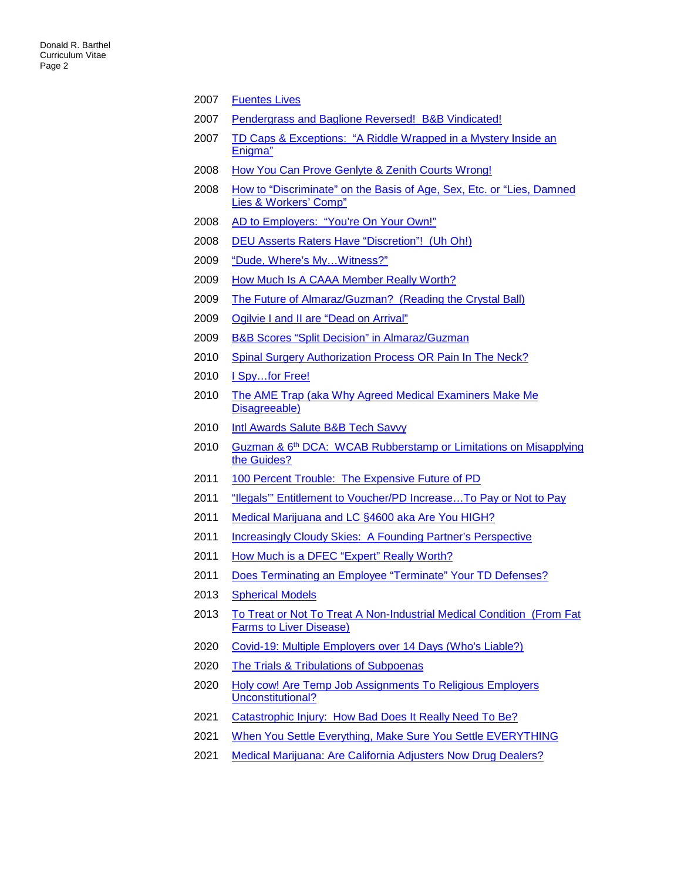- [Fuentes Lives](https://bradfordbarthel.blogspot.com/2007/04/fuentes-lives.html)
- [Pendergrass and Baglione Reversed! B&B Vindicated!](https://bradfordbarthel.blogspot.com/2007/04/pendergrass-and-baglione-reversed-b.html)
- [TD Caps & Exceptions: "A Riddle Wrapped in a Mystery Inside an](https://bradfordbarthel.blogspot.com/2007/10/td-caps-exceptions-riddle-wrapped-in.html)  [Enigma"](https://bradfordbarthel.blogspot.com/2007/10/td-caps-exceptions-riddle-wrapped-in.html)
- [How You Can Prove Genlyte & Zenith Courts Wrong!](https://bradfordbarthel.blogspot.com/2008/01/how-you-can-prove-genlyte-zenith-courts.html)
- 2008 How to "Discriminate" on the Basis of Age, Sex, Etc. or "Lies, Damned [Lies & Workers' Comp"](https://bradfordbarthel.blogspot.com/2008/01/how-to-discriminate-on-basis-of-age-sex.html)
- [AD to Employers: "You're On Your Own!"](https://bradfordbarthel.blogspot.com/2008/04/ad-to-employers-youre-on-your-own.html)
- [DEU Asserts Raters Have "Discretion"! \(Uh Oh!\)](https://bradfordbarthel.blogspot.com/2008/07/deu-asserts-raters-have-discretion-uh.html)
- ["Dude, Where's My…Witness?"](https://bradfordbarthel.blogspot.com/2009/01/dude-wheres-my-witness.html)
- [How Much Is A CAAA Member Really Worth?](https://bradfordbarthel.blogspot.com/2009/04/how-much-is-caaa-member-really-worth.html)
- [The Future of Almaraz/Guzman? \(Reading the Crystal Ball\)](https://bradfordbarthel.blogspot.com/2009/04/future-of-almarazguzman-reading-crystal.html)
- [Ogilvie I and II are "Dead on Arrival"](https://bradfordbarthel.blogspot.com/2009/07/ogilvie-i-and-ii-are-dead-on-arrival.html)
- [B&B Scores "Split Decision" in Almaraz/Guzman](https://bradfordbarthel.blogspot.com/2009/07/b-scores-split-decision-in.html)
- [Spinal Surgery Authorization Process OR Pain In The Neck?](https://bradfordbarthel.blogspot.com/2010/01/spinal-surgery-authorization-process-or.html)
- 2010 I Spy...for Free!
- [The AME Trap \(aka Why Agreed Medical Examiners Make Me](https://bradfordbarthel.blogspot.com/2010/04/ame-trap-aka-why-agreed-medical.html)  [Disagreeable\)](https://bradfordbarthel.blogspot.com/2010/04/ame-trap-aka-why-agreed-medical.html)
- [Intl Awards Salute B&B Tech Savvy](https://bradfordbarthel.blogspot.com/2010/07/intl-awards-salute-b-tech-savvy.html)
- 2010 Guzman & 6<sup>th</sup> DCA: WCAB Rubberstamp or Limitations on Misapplying [the Guides?](https://bradfordbarthel.blogspot.com/2010/07/guzman-6th-dca-wcab-rubberstamp-or.html)
- [100 Percent Trouble: The Expensive Future of PD](https://bradfordbarthel.blogspot.com/2011/01/100-percent-trouble-expensive-future-of.html)
- ["Ilegals'" Entitlement to Voucher/PD Increase…To Pay or Not to Pay](https://bradfordbarthel.blogspot.com/2011/01/illegals-entitlement-to-voucherpd.html)
- [Medical Marijuana and LC §4600 aka Are You HIGH?](https://bradfordbarthel.blogspot.com/2011/01/medical-marijuana-and-lc-4600-aka-are.html)
- [Increasingly Cloudy Skies: A Founding Partner's Perspective](https://bradfordbarthel.blogspot.com/2011/11/increasingly-cloudy-skies-founding.html)
- [How Much is a DFEC "Expert" Really Worth?](https://bradfordbarthel.blogspot.com/2011/12/how-much-is-dfec-expert-really-worth.html)
- [Does Terminating an Employee "Terminate" Your TD Defenses?](https://bradfordbarthel.blogspot.com/2011/12/does-terminating-employee-terminate-1.html)
- [Spherical Models](https://bradfordbarthel.blogspot.com/2013/01/spherical-models.html)
- [To Treat or Not To Treat A Non-Industrial Medical Condition \(From Fat](https://bradfordbarthel.blogspot.com/2013/01/to-treat-or-not-to-treat-non-industrial.html)  [Farms to Liver Disease\)](https://bradfordbarthel.blogspot.com/2013/01/to-treat-or-not-to-treat-non-industrial.html)
- [Covid-19: Multiple Employers over 14 Days \(Who's Liable?\)](http://bradfordbarthel.blogspot.com/2020/05/covid-19-multiple-employers-over-14.html)
- [The Trials & Tribulations of Subpoenas](https://bradfordbarthel.blogspot.com/2020/08/the-trials-tribulations-of-subpoenas.html)
- [Holy cow! Are Temp Job Assignments To Religious Employers](https://bradfordbarthel.blogspot.com/2020/08/holy-cow-are-temp-job-assignments-to.html)  [Unconstitutional?](https://bradfordbarthel.blogspot.com/2020/08/holy-cow-are-temp-job-assignments-to.html)
- [Catastrophic Injury: How Bad Does It Really Need To Be?](https://bradfordbarthel.blogspot.com/2021/02/catastrophic-injury-how-bad-does.html)
- [When You Settle Everything, Make Sure You Settle EVERYTHING](https://bradfordbarthel.blogspot.com/2021/03/when-you-settle-everything-make-sure.html)
- [Medical Marijuana: Are California Adjusters Now Drug Dealers?](https://bradfordbarthel.blogspot.com/2021/05/medical-marijuana-are-california.html)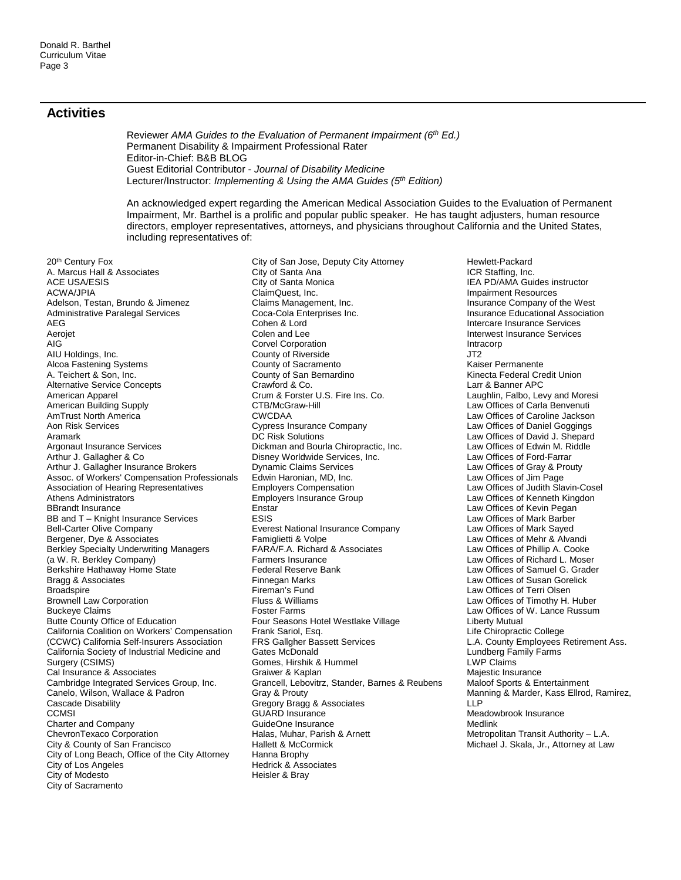#### **Activities**

Reviewer *AMA Guides to the Evaluation of Permanent Impairment (6th Ed.)*  Permanent Disability & Impairment Professional Rater Editor-in-Chief: B&B BLOG Guest Editorial Contributor - *Journal of Disability Medicine* Lecturer/Instructor: *Implementing & Using the AMA Guides (5th Edition)*

An acknowledged expert regarding the American Medical Association Guides to the Evaluation of Permanent Impairment, Mr. Barthel is a prolific and popular public speaker. He has taught adjusters, human resource directors, employer representatives, attorneys, and physicians throughout California and the United States, including representatives of:

20<sup>th</sup> Century Fox A. Marcus Hall & Associates ACE USA/ESIS ACWA/JPIA Adelson, Testan, Brundo & Jimenez Administrative Paralegal Services AEG Aerojet AIG AIU Holdings, Inc. Alcoa Fastening Systems A. Teichert & Son, Inc. Alternative Service Concepts American Apparel American Building Supply AmTrust North America Aon Risk Services Aramark Argonaut Insurance Services Arthur J. Gallagher & Co Arthur J. Gallagher Insurance Brokers Assoc. of Workers' Compensation Professionals Association of Hearing Representatives Athens Administrators BBrandt Insurance BB and T – Knight Insurance Services Bell-Carter Olive Company Bergener, Dye & Associates Berkley Specialty Underwriting Managers (a W. R. Berkley Company) Berkshire Hathaway Home State Bragg & Associates **Broadspire** Brownell Law Corporation Buckeye Claims Butte County Office of Education California Coalition on Workers' Compensation (CCWC) California Self-Insurers Association California Society of Industrial Medicine and Surgery (CSIMS) Cal Insurance & Associates Cambridge Integrated Services Group, Inc. Canelo, Wilson, Wallace & Padron Cascade Disability **CCMSI** Charter and Company ChevronTexaco Corporation City & County of San Francisco City of Long Beach, Office of the City Attorney City of Los Angeles City of Modesto City of Sacramento

City of San Jose, Deputy City Attorney City of Santa Ana City of Santa Monica ClaimQuest, Inc. Claims Management, Inc. Coca-Cola Enterprises Inc. Cohen & Lord Colen and Lee Corvel Corporation County of Riverside County of Sacramento County of San Bernardino Crawford & Co. Crum & Forster U.S. Fire Ins. Co. CTB/McGraw-Hill CWCDAA Cypress Insurance Company DC Risk Solutions Dickman and Bourla Chiropractic, Inc. Disney Worldwide Services, Inc. Dynamic Claims Services Edwin Haronian, MD, Inc. Employers Compensation Employers Insurance Group Enstar ESIS Everest National Insurance Company Famiglietti & Volpe FARA/F.A. Richard & Associates Farmers Insurance Federal Reserve Bank Finnegan Marks Fireman's Fund Fluss & Williams Foster Farms Four Seasons Hotel Westlake Village Frank Sariol, Esq. FRS Gallgher Bassett Services Gates McDonald Gomes, Hirshik & Hummel Graiwer & Kaplan Grancell, Lebovitrz, Stander, Barnes & Reubens Gray & Prouty Gregory Bragg & Associates GUARD Insurance GuideOne Insurance Halas, Muhar, Parish & Arnett Hallett & McCormick Hanna Brophy Hedrick & Associates Heisler & Bray

Hewlett-Packard ICR Staffing, Inc. IEA PD/AMA Guides instructor Impairment Resources Insurance Company of the West Insurance Educational Association Intercare Insurance Services Interwest Insurance Services Intracorp JT2 Kaiser Permanente Kinecta Federal Credit Union Larr & Banner APC Laughlin, Falbo, Levy and Moresi Law Offices of Carla Benvenuti Law Offices of Caroline Jackson Law Offices of Daniel Goggings Law Offices of David J. Shepard Law Offices of Edwin M. Riddle Law Offices of Ford-Farrar Law Offices of Gray & Prouty Law Offices of Jim Page Law Offices of Judith Slavin-Cosel Law Offices of Kenneth Kingdon Law Offices of Kevin Pegan Law Offices of Mark Barber Law Offices of Mark Sayed Law Offices of Mehr & Alvandi Law Offices of Phillip A. Cooke Law Offices of Richard L. Moser Law Offices of Samuel G. Grader Law Offices of Susan Gorelick Law Offices of Terri Olsen Law Offices of Timothy H. Huber Law Offices of W. Lance Russum Liberty Mutual Life Chiropractic College L.A. County Employees Retirement Ass. Lundberg Family Farms LWP Claims Majestic Insurance Maloof Sports & Entertainment Manning & Marder, Kass Ellrod, Ramirez, LLP Meadowbrook Insurance Medlink Metropolitan Transit Authority – L.A. Michael J. Skala, Jr., Attorney at Law